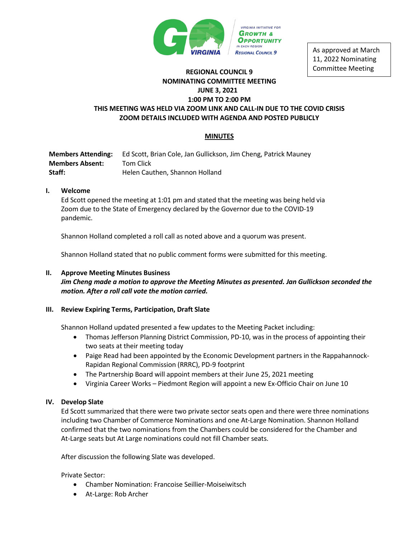

As approved at March 11, 2022 Nominating Committee Meeting

# **REGIONAL COUNCIL 9 NOMINATING COMMITTEE MEETING JUNE 3, 2021 1:00 PM TO 2:00 PM**

## **THIS MEETING WAS HELD VIA ZOOM LINK AND CALL-IN DUE TO THE COVID CRISIS ZOOM DETAILS INCLUDED WITH AGENDA AND POSTED PUBLICLY**

## **MINUTES**

**Members Attending:** Ed Scott, Brian Cole, Jan Gullickson, Jim Cheng, Patrick Mauney **Members Absent:** Tom Click **Staff:** Helen Cauthen, Shannon Holland

## **I. Welcome**

Ed Scott opened the meeting at 1:01 pm and stated that the meeting was being held via Zoom due to the State of Emergency declared by the Governor due to the COVID-19 pandemic.

Shannon Holland completed a roll call as noted above and a quorum was present.

Shannon Holland stated that no public comment forms were submitted for this meeting.

## **II. Approve Meeting Minutes Business**

*Jim Cheng made a motion to approve the Meeting Minutes as presented. Jan Gullickson seconded the motion. After a roll call vote the motion carried.* 

## **III. Review Expiring Terms, Participation, Draft Slate**

Shannon Holland updated presented a few updates to the Meeting Packet including:

- Thomas Jefferson Planning District Commission, PD-10, was in the process of appointing their two seats at their meeting today
- Paige Read had been appointed by the Economic Development partners in the Rappahannock-Rapidan Regional Commission (RRRC), PD-9 footprint
- The Partnership Board will appoint members at their June 25, 2021 meeting
- Virginia Career Works Piedmont Region will appoint a new Ex-Officio Chair on June 10

## **IV. Develop Slate**

Ed Scott summarized that there were two private sector seats open and there were three nominations including two Chamber of Commerce Nominations and one At-Large Nomination. Shannon Holland confirmed that the two nominations from the Chambers could be considered for the Chamber and At-Large seats but At Large nominations could not fill Chamber seats.

After discussion the following Slate was developed.

Private Sector:

- Chamber Nomination: Francoise Seillier-Moiseiwitsch
- At-Large: Rob Archer